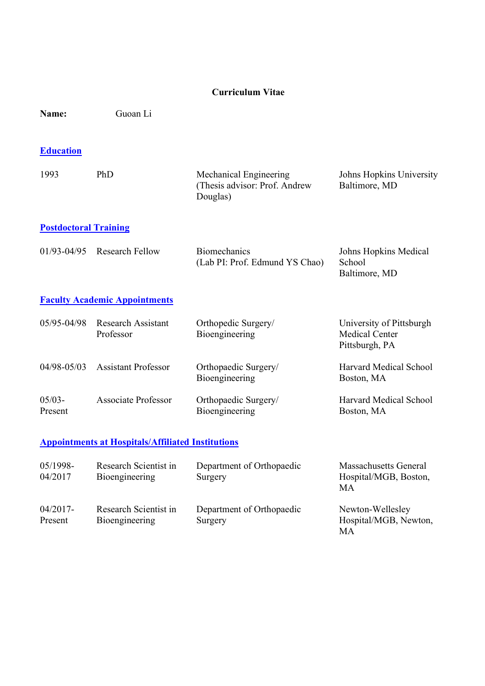#### Curriculum Vitae

Name: Guoan Li

# **Education**

| 1993 | PhD | Mechanical Engineering         | Johns Hopkins University |
|------|-----|--------------------------------|--------------------------|
|      |     | (Thesis advisor: Prof. Andrew) | Baltimore, MD            |
|      |     | Douglas)                       |                          |
|      |     |                                |                          |

#### Postdoctoral Training

| $01/93 - 04/95$ Research Fellow | <b>Biomechanics</b>            | Johns Hopkins Medical |
|---------------------------------|--------------------------------|-----------------------|
|                                 | (Lab PI: Prof. Edmund YS Chao) | <b>School</b>         |
|                                 |                                | Baltimore, MD         |

## Faculty Academic Appointments

| 05/95-04/98          | <b>Research Assistant</b><br>Professor | Orthopedic Surgery/<br>Bioengineering  | University of Pittsburgh<br><b>Medical Center</b><br>Pittsburgh, PA |
|----------------------|----------------------------------------|----------------------------------------|---------------------------------------------------------------------|
| $04/98 - 05/03$      | <b>Assistant Professor</b>             | Orthopaedic Surgery/<br>Bioengineering | Harvard Medical School<br>Boston, MA                                |
| $05/03 -$<br>Present | <b>Associate Professor</b>             | Orthopaedic Surgery/<br>Bioengineering | Harvard Medical School<br>Boston, MA                                |

### Appointments at Hospitals/Affiliated Institutions

| 05/1998-<br>04/2017    | Research Scientist in<br>Bioengineering | Department of Orthopaedic<br>Surgery | <b>Massachusetts General</b><br>Hospital/MGB, Boston,<br>MА |
|------------------------|-----------------------------------------|--------------------------------------|-------------------------------------------------------------|
| $04/2017$ -<br>Present | Research Scientist in<br>Bioengineering | Department of Orthopaedic<br>Surgery | Newton-Wellesley<br>Hospital/MGB, Newton,<br>MА             |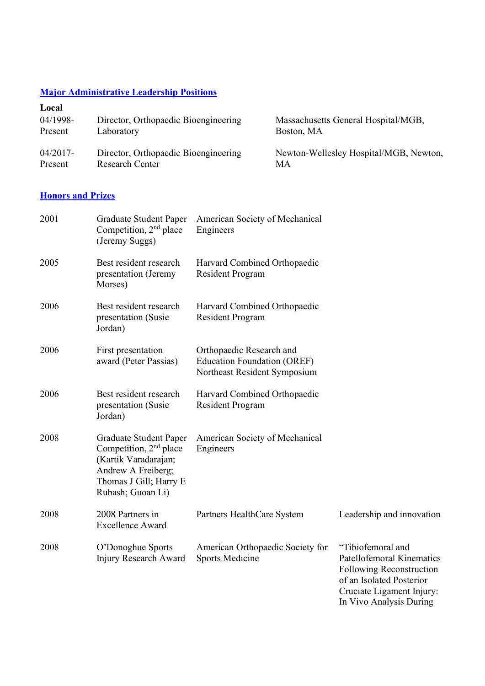#### **Major Administrative Leadership Positions**

| Local       |                                      |                                        |
|-------------|--------------------------------------|----------------------------------------|
| 04/1998-    | Director, Orthopaedic Bioengineering | Massachusetts General Hospital/MGB,    |
| Present     | Laboratory                           | Boston, MA                             |
| $04/2017$ - | Director, Orthopaedic Bioengineering | Newton-Wellesley Hospital/MGB, Newton, |
| Present     | <b>Research Center</b>               | MА                                     |

## **Honors and Prizes**

| 2001 | Graduate Student Paper<br>Competition, 2 <sup>nd</sup> place<br>(Jeremy Suggs)                                                                  | American Society of Mechanical<br>Engineers                                                    |                                                                                                                                                                       |
|------|-------------------------------------------------------------------------------------------------------------------------------------------------|------------------------------------------------------------------------------------------------|-----------------------------------------------------------------------------------------------------------------------------------------------------------------------|
| 2005 | Best resident research<br>presentation (Jeremy<br>Morses)                                                                                       | Harvard Combined Orthopaedic<br><b>Resident Program</b>                                        |                                                                                                                                                                       |
| 2006 | Best resident research<br>presentation (Susie<br>Jordan)                                                                                        | Harvard Combined Orthopaedic<br><b>Resident Program</b>                                        |                                                                                                                                                                       |
| 2006 | First presentation<br>award (Peter Passias)                                                                                                     | Orthopaedic Research and<br><b>Education Foundation (OREF)</b><br>Northeast Resident Symposium |                                                                                                                                                                       |
| 2006 | Best resident research<br>presentation (Susie<br>Jordan)                                                                                        | Harvard Combined Orthopaedic<br><b>Resident Program</b>                                        |                                                                                                                                                                       |
| 2008 | Graduate Student Paper<br>Competition, $2nd$ place<br>(Kartik Varadarajan;<br>Andrew A Freiberg;<br>Thomas J Gill; Harry E<br>Rubash; Guoan Li) | American Society of Mechanical<br>Engineers                                                    |                                                                                                                                                                       |
| 2008 | 2008 Partners in<br><b>Excellence Award</b>                                                                                                     | Partners HealthCare System                                                                     | Leadership and innovation                                                                                                                                             |
| 2008 | O'Donoghue Sports<br>Injury Research Award                                                                                                      | American Orthopaedic Society for<br><b>Sports Medicine</b>                                     | "Tibiofemoral and<br><b>Patellofemoral Kinematics</b><br>Following Reconstruction<br>of an Isolated Posterior<br>Cruciate Ligament Injury:<br>In Vivo Analysis During |